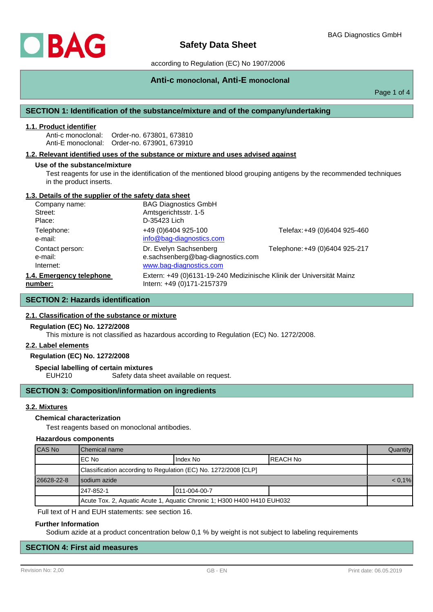# **Safety Data Sheet**

according to Regulation (EC) No 1907/2006

# **Anti-c monoclonal, Anti-E monoclonal**

Page 1 of 4

## **SECTION 1: Identification of the substance/mixture and of the company/undertaking**

#### **1.1. Product identifier**

Anti-c monoclonal: Order-no. 673801, 673810 Anti-E monoclonal: Order-no. 673901, 673910

#### **1.2. Relevant identified uses of the substance or mixture and uses advised against**

#### **Use of the substance/mixture**

Test reagents for use in the identification of the mentioned blood grouping antigens by the recommended techniques in the product inserts.

### **1.3. Details of the supplier of the safety data sheet**

| Company name:            | <b>BAG Diagnostics GmbH</b>                                          |                                |
|--------------------------|----------------------------------------------------------------------|--------------------------------|
| Street:                  | Amtsgerichtsstr. 1-5                                                 |                                |
| Place:                   | D-35423 Lich                                                         |                                |
| Telephone:               | +49 (0)6404 925-100                                                  | Telefax: +49 (0)6404 925-460   |
| e-mail:                  | info@bag-diagnostics.com                                             |                                |
| Contact person:          | Dr. Evelyn Sachsenberg                                               | Telephone: +49 (0)6404 925-217 |
| e-mail:                  | e.sachsenberg@bag-diagnostics.com                                    |                                |
| Internet:                | www.bag-diagnostics.com                                              |                                |
| 1.4. Emergency telephone | Extern: +49 (0)6131-19-240 Medizinische Klinik der Universität Mainz |                                |
| number:                  | Intern: +49 (0)171-2157379                                           |                                |

# **SECTION 2: Hazards identification**

### **2.1. Classification of the substance or mixture**

#### **Regulation (EC) No. 1272/2008**

This mixture is not classified as hazardous according to Regulation (EC) No. 1272/2008.

#### **2.2. Label elements**

### **Regulation (EC) No. 1272/2008**

**Special labelling of certain mixtures**

EUH210 Safety data sheet available on request.

### **SECTION 3: Composition/information on ingredients**

#### **3.2. Mixtures**

#### **Chemical characterization**

Test reagents based on monoclonal antibodies.

#### **Hazardous components**

| CAS No                                                                  | Chemical name                                                   |               |           | Quantity  |
|-------------------------------------------------------------------------|-----------------------------------------------------------------|---------------|-----------|-----------|
|                                                                         | IEC No                                                          | Index No      | IREACH No |           |
|                                                                         | Classification according to Regulation (EC) No. 1272/2008 [CLP] |               |           |           |
| 26628-22-8                                                              | Isodium azide                                                   |               |           | $< 0.1\%$ |
|                                                                         | 247-852-1                                                       | 1011-004-00-7 |           |           |
| Acute Tox. 2, Aquatic Acute 1, Aquatic Chronic 1; H300 H400 H410 EUH032 |                                                                 |               |           |           |

Full text of H and EUH statements: see section 16.

#### **Further Information**

Sodium azide at a product concentration below 0,1 % by weight is not subject to labeling requirements

# **SECTION 4: First aid measures**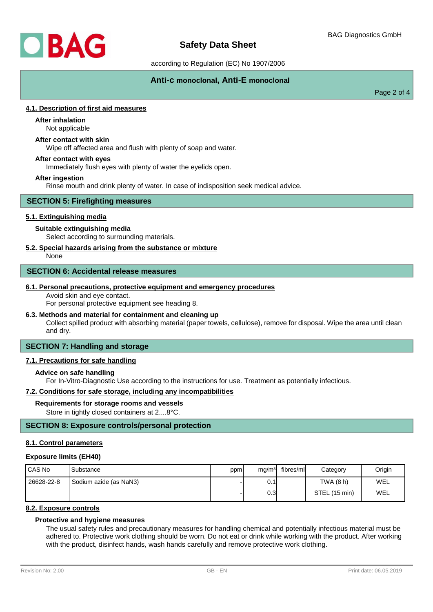

# **Safety Data Sheet**

according to Regulation (EC) No 1907/2006

# **Anti-c monoclonal, Anti-E monoclonal**

Page 2 of 4

## **4.1. Description of first aid measures**

# **After inhalation**

Not applicable

# **After contact with skin**

Wipe off affected area and flush with plenty of soap and water.

### **After contact with eyes**

Immediately flush eyes with plenty of water the eyelids open.

#### **After ingestion**

Rinse mouth and drink plenty of water. In case of indisposition seek medical advice.

#### **SECTION 5: Firefighting measures**

### **5.1. Extinguishing media**

#### **Suitable extinguishing media**

Select according to surrounding materials.

### **5.2. Special hazards arising from the substance or mixture**

None

#### **SECTION 6: Accidental release measures**

#### **6.1. Personal precautions, protective equipment and emergency procedures**

Avoid skin and eye contact.

For personal protective equipment see heading 8.

### **6.3. Methods and material for containment and cleaning up**

Collect spilled product with absorbing material (paper towels, cellulose), remove for disposal. Wipe the area until clean and dry.

# **SECTION 7: Handling and storage**

#### **7.1. Precautions for safe handling**

### **Advice on safe handling**

For In-Vitro-Diagnostic Use according to the instructions for use. Treatment as potentially infectious.

#### **7.2. Conditions for safe storage, including any incompatibilities**

#### **Requirements for storage rooms and vessels**

Store in tightly closed containers at 2....8°C.

## **SECTION 8: Exposure controls/personal protection**

### **8.1. Control parameters**

#### **Exposure limits (EH40)**

| I CAS No   | Substance              | ppm | mg/m <sup>3</sup> | fibres/ml | Category      | Origin |
|------------|------------------------|-----|-------------------|-----------|---------------|--------|
| 26628-22-8 | Sodium azide (as NaN3) |     | 0.1               |           | TWA (8 h)     | WEL    |
|            |                        |     | 0.3I              |           | STEL (15 min) | WEL    |

# **8.2. Exposure controls**

## **Protective and hygiene measures**

The usual safety rules and precautionary measures for handling chemical and potentially infectious material must be adhered to. Protective work clothing should be worn. Do not eat or drink while working with the product. After working with the product, disinfect hands, wash hands carefully and remove protective work clothing.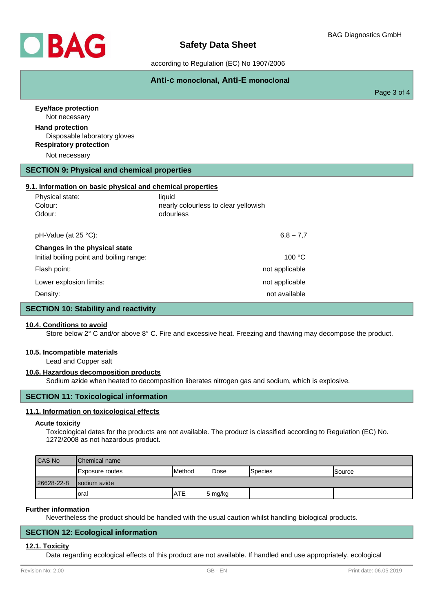

according to Regulation (EC) No 1907/2006

# **Anti-c monoclonal, Anti-E monoclonal**

Page 3 of 4

| <b>Eye/face protection</b><br>Not necessary                                                              |                                      |  |
|----------------------------------------------------------------------------------------------------------|--------------------------------------|--|
| <b>Hand protection</b><br>Disposable laboratory gloves<br><b>Respiratory protection</b><br>Not necessary |                                      |  |
|                                                                                                          |                                      |  |
| <b>SECTION 9: Physical and chemical properties</b>                                                       |                                      |  |
| 9.1. Information on basic physical and chemical properties                                               |                                      |  |
| Physical state:                                                                                          | liquid                               |  |
| Colour:                                                                                                  | nearly colourless to clear yellowish |  |
| Odour:                                                                                                   | odourless                            |  |
| pH-Value (at 25 °C):                                                                                     | $6,8 - 7,7$                          |  |
|                                                                                                          |                                      |  |
| Changes in the physical state                                                                            |                                      |  |
| Initial boiling point and boiling range:                                                                 | 100 °C                               |  |
| Flash point:                                                                                             | not applicable                       |  |
| Lower explosion limits:                                                                                  | not applicable                       |  |
| Density:                                                                                                 | not available                        |  |
| <b>SECTION 10: Stability and reactivity</b>                                                              |                                      |  |

## **10.4. Conditions to avoid**

Store below 2° C and/or above 8° C. Fire and excessive heat. Freezing and thawing may decompose the product.

#### **10.5. Incompatible materials**

Lead and Copper salt

#### **10.6. Hazardous decomposition products**

Sodium azide when heated to decomposition liberates nitrogen gas and sodium, which is explosive.

## **SECTION 11: Toxicological information**

#### **11.1. Information on toxicological effects**

#### **Acute toxicity**

Toxicological dates for the products are not available. The product is classified according to Regulation (EC) No. 1272/2008 as not hazardous product.

| <b>CAS No</b> | <b>IChemical name</b>   |                 |         |                 |               |
|---------------|-------------------------|-----------------|---------|-----------------|---------------|
|               | <b>IExposure routes</b> | <b>I</b> Method | Dose    | <b>S</b> pecies | <b>Source</b> |
| 26628-22-8    | Isodium azide           |                 |         |                 |               |
|               | loral                   | <b>ATE</b>      | 5 mg/kg |                 |               |

#### **Further information**

Nevertheless the product should be handled with the usual caution whilst handling biological products.

### **SECTION 12: Ecological information**

#### **12.1. Toxicity**

Data regarding ecological effects of this product are not available. If handled and use appropriately, ecological